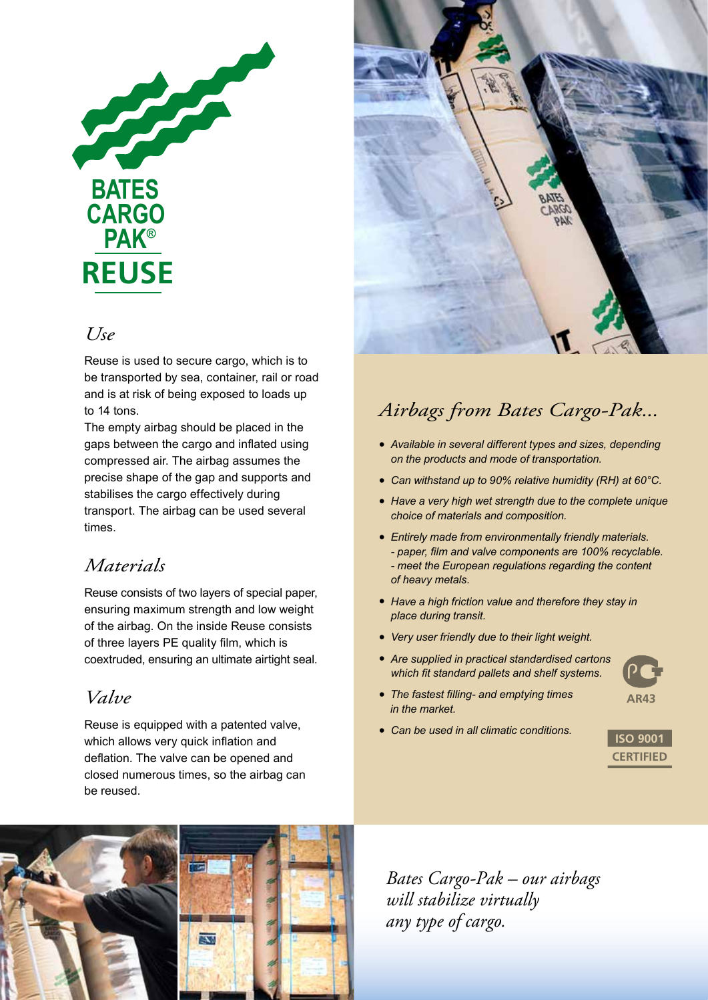

### *Use*

Reuse is used to secure cargo, which is to be transported by sea, container, rail or road and is at risk of being exposed to loads up to 14 tons.

The empty airbag should be placed in the gaps between the cargo and inflated using compressed air. The airbag assumes the precise shape of the gap and supports and stabilises the cargo effectively during transport. The airbag can be used several times.

## *Materials*

Reuse consists of two layers of special paper, ensuring maximum strength and low weight of the airbag. On the inside Reuse consists of three layers PE quality film, which is coextruded, ensuring an ultimate airtight seal.

## *Valve*

Reuse is equipped with a patented valve, which allows very quick inflation and deflation. The valve can be opened and closed numerous times, so the airbag can be reused.



## *Airbags from Bates Cargo-Pak...*

- *• Available in several different types and sizes, depending on the products and mode of transportation.*
- *• Can withstand up to 90% relative humidity (RH) at 60°C.*
- *• Have a very high wet strength due to the complete unique choice of materials and composition.*
- *• Entirely made from environmentally friendly materials. - paper, film and valve components are 100% recyclable. - meet the European regulations regarding the content of heavy metals.*
- *• Have a high friction value and therefore they stay in place during transit.*
- *• Very user friendly due to their light weight.*
- *• Are supplied in practical standardised cartons which fit standard pallets and shelf systems.*



**AR43**

- *The fastest filling- and emptying times in the market.*
- *• Can be used in all climatic conditions.*





*Bates Cargo-Pak – our airbags will stabilize virtually any type of cargo.*